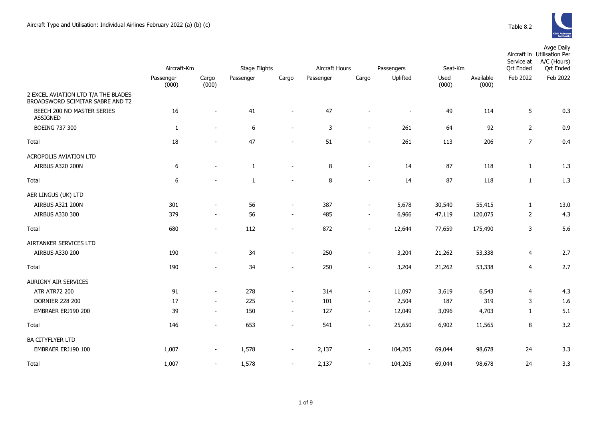

|                                                                         |                    |                          |               |                          | Aircraft Hours |                          |                        |               | Avge Daily<br>Aircraft in Utilisation Per<br>Service at<br>A/C (Hours)<br><b>Qrt Ended</b> |                              |          |
|-------------------------------------------------------------------------|--------------------|--------------------------|---------------|--------------------------|----------------|--------------------------|------------------------|---------------|--------------------------------------------------------------------------------------------|------------------------------|----------|
|                                                                         | Aircraft-Km        |                          | Stage Flights |                          | Cargo          |                          | Passengers<br>Uplifted | Seat-Km       |                                                                                            | <b>Qrt Ended</b><br>Feb 2022 | Feb 2022 |
|                                                                         | Passenger<br>(000) | Cargo<br>(000)           | Passenger     | Cargo                    | Passenger      |                          |                        | Used<br>(000) | Available<br>(000)                                                                         |                              |          |
| 2 EXCEL AVIATION LTD T/A THE BLADES<br>BROADSWORD SCIMITAR SABRE AND T2 |                    |                          |               |                          |                |                          |                        |               |                                                                                            |                              |          |
| BEECH 200 NO MASTER SERIES<br>ASSIGNED                                  | 16                 | $\overline{\phantom{a}}$ | 41            | $\overline{\phantom{a}}$ | 47             |                          | $\blacksquare$         | 49            | 114                                                                                        | 5                            | 0.3      |
| <b>BOEING 737 300</b>                                                   | $\mathbf{1}$       | $\blacksquare$           | 6             | $\blacksquare$           | 3              | $\sim$                   | 261                    | 64            | 92                                                                                         | $\overline{2}$               | 0.9      |
| Total                                                                   | 18                 | $\sim$                   | 47            | $\blacksquare$           | 51             | $\sim$                   | 261                    | 113           | 206                                                                                        | $\overline{7}$               | 0.4      |
| ACROPOLIS AVIATION LTD                                                  |                    |                          |               |                          |                |                          |                        |               |                                                                                            |                              |          |
| AIRBUS A320 200N                                                        | 6                  |                          | $\mathbf{1}$  | $\overline{\phantom{a}}$ | 8              | $\overline{\phantom{a}}$ | 14                     | 87            | 118                                                                                        | $\mathbf{1}$                 | 1.3      |
| Total                                                                   | $\boldsymbol{6}$   |                          | $\mathbf{1}$  | $\overline{\phantom{a}}$ | 8              |                          | 14                     | 87            | 118                                                                                        | 1                            | 1.3      |
| AER LINGUS (UK) LTD                                                     |                    |                          |               |                          |                |                          |                        |               |                                                                                            |                              |          |
| AIRBUS A321 200N                                                        | 301                | $\blacksquare$           | 56            | $\overline{\phantom{a}}$ | 387            | $\overline{\phantom{a}}$ | 5,678                  | 30,540        | 55,415                                                                                     | $\mathbf{1}$                 | 13.0     |
| AIRBUS A330 300                                                         | 379                | $\overline{\phantom{a}}$ | 56            | $\overline{\phantom{a}}$ | 485            | $\overline{\phantom{a}}$ | 6,966                  | 47,119        | 120,075                                                                                    | 2                            | 4.3      |
| Total                                                                   | 680                | $\overline{\phantom{a}}$ | 112           | $\overline{\phantom{a}}$ | 872            | $\overline{\phantom{a}}$ | 12,644                 | 77,659        | 175,490                                                                                    | 3                            | 5.6      |
| AIRTANKER SERVICES LTD                                                  |                    |                          |               |                          |                |                          |                        |               |                                                                                            |                              |          |
| AIRBUS A330 200                                                         | 190                | $\overline{\phantom{a}}$ | 34            | $\overline{\phantom{a}}$ | 250            | $\overline{\phantom{a}}$ | 3,204                  | 21,262        | 53,338                                                                                     | $\overline{4}$               | 2.7      |
| <b>Total</b>                                                            | 190                |                          | 34            | $\overline{\phantom{a}}$ | 250            |                          | 3,204                  | 21,262        | 53,338                                                                                     | $\overline{4}$               | 2.7      |
| AURIGNY AIR SERVICES                                                    |                    |                          |               |                          |                |                          |                        |               |                                                                                            |                              |          |
| <b>ATR ATR72 200</b>                                                    | 91                 | $\overline{\phantom{a}}$ | 278           | $\blacksquare$           | 314            | $\overline{\phantom{a}}$ | 11,097                 | 3,619         | 6,543                                                                                      | 4                            | 4.3      |
| <b>DORNIER 228 200</b>                                                  | 17                 | $\overline{\phantom{a}}$ | 225           | $\overline{\phantom{a}}$ | 101            | $\overline{\phantom{a}}$ | 2,504                  | 187           | 319                                                                                        | 3                            | 1.6      |
| EMBRAER ERJ190 200                                                      | 39                 | $\overline{\phantom{a}}$ | 150           | $\sim$                   | 127            | $\overline{\phantom{a}}$ | 12,049                 | 3,096         | 4,703                                                                                      | $\mathbf{1}$                 | 5.1      |
| <b>Total</b>                                                            | 146                | $\blacksquare$           | 653           |                          | 541            |                          | 25,650                 | 6,902         | 11,565                                                                                     | 8                            | 3.2      |
| <b>BA CITYFLYER LTD</b>                                                 |                    |                          |               |                          |                |                          |                        |               |                                                                                            |                              |          |
| EMBRAER ERJ190 100                                                      | 1,007              | $\overline{\phantom{a}}$ | 1,578         | $\overline{\phantom{a}}$ | 2,137          | $\overline{\phantom{a}}$ | 104,205                | 69,044        | 98,678                                                                                     | 24                           | 3.3      |
| <b>Total</b>                                                            | 1,007              | $\blacksquare$           | 1,578         | $\blacksquare$           | 2,137          | $\sim$                   | 104,205                | 69,044        | 98,678                                                                                     | 24                           | 3.3      |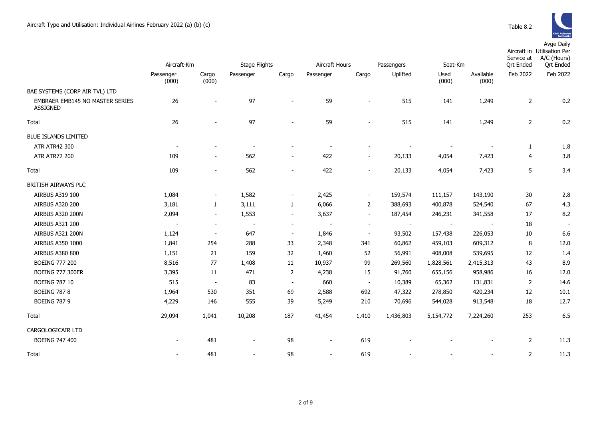

|                                                    | Aircraft-Km              |                          | <b>Stage Flights</b>     |                          | Aircraft Hours<br>Passengers |                          |           | Seat-Km        |                          | Service at<br>Ort Ended | Aircraft in Utilisation Per<br>A/C (Hours)<br><b>Qrt Ended</b> |
|----------------------------------------------------|--------------------------|--------------------------|--------------------------|--------------------------|------------------------------|--------------------------|-----------|----------------|--------------------------|-------------------------|----------------------------------------------------------------|
|                                                    | Passenger<br>(000)       | Cargo<br>(000)           | Passenger                | Cargo                    | Passenger                    | Cargo                    | Uplifted  | Used<br>(000)  | Available<br>(000)       | Feb 2022                | Feb 2022                                                       |
| BAE SYSTEMS (CORP AIR TVL) LTD                     |                          |                          |                          |                          |                              |                          |           |                |                          |                         |                                                                |
| EMBRAER EMB145 NO MASTER SERIES<br><b>ASSIGNED</b> | 26                       |                          | 97                       | $\blacksquare$           | 59                           | $\sim$                   | 515       | 141            | 1,249                    | $\overline{2}$          | 0.2                                                            |
| Total                                              | 26                       |                          | 97                       |                          | 59                           |                          | 515       | 141            | 1,249                    | $\overline{2}$          | 0.2                                                            |
| <b>BLUE ISLANDS LIMITED</b>                        |                          |                          |                          |                          |                              |                          |           |                |                          |                         |                                                                |
| <b>ATR ATR42 300</b>                               | $\overline{\phantom{a}}$ |                          |                          |                          |                              |                          | $\sim$    |                |                          | $\mathbf{1}$            | 1.8                                                            |
| <b>ATR ATR72 200</b>                               | 109                      |                          | 562                      |                          | 422                          | $\overline{\phantom{a}}$ | 20,133    | 4,054          | 7,423                    | 4                       | 3.8                                                            |
| Total                                              | 109                      |                          | 562                      |                          | 422                          | $\overline{\phantom{a}}$ | 20,133    | 4,054          | 7,423                    | 5                       | 3.4                                                            |
| BRITISH AIRWAYS PLC                                |                          |                          |                          |                          |                              |                          |           |                |                          |                         |                                                                |
| AIRBUS A319 100                                    | 1,084                    | $\overline{\phantom{a}}$ | 1,582                    | $\overline{\phantom{a}}$ | 2,425                        | $\overline{\phantom{a}}$ | 159,574   | 111,157        | 143,190                  | 30                      | 2.8                                                            |
| AIRBUS A320 200                                    | 3,181                    | $\mathbf{1}$             | 3,111                    | $\mathbf{1}$             | 6,066                        | $\overline{2}$           | 388,693   | 400,878        | 524,540                  | 67                      | 4.3                                                            |
| AIRBUS A320 200N                                   | 2,094                    | $\overline{\phantom{a}}$ | 1,553                    | $\overline{\phantom{a}}$ | 3,637                        | $\sim$                   | 187,454   | 246,231        | 341,558                  | 17                      | 8.2                                                            |
| AIRBUS A321 200                                    | $\sim$                   | $\overline{\phantom{a}}$ | $\overline{\phantom{a}}$ | $\overline{\phantom{a}}$ | $\blacksquare$               | $\overline{\phantom{a}}$ | $\sim$    | $\blacksquare$ | $\overline{\phantom{a}}$ | 18                      |                                                                |
| AIRBUS A321 200N                                   | 1,124                    | $\overline{\phantom{a}}$ | 647                      | $\overline{\phantom{a}}$ | 1,846                        | $\overline{\phantom{a}}$ | 93,502    | 157,438        | 226,053                  | 10                      | 6.6                                                            |
| AIRBUS A350 1000                                   | 1,841                    | 254                      | 288                      | 33                       | 2,348                        | 341                      | 60,862    | 459,103        | 609,312                  | 8                       | 12.0                                                           |
| <b>AIRBUS A380 800</b>                             | 1,151                    | 21                       | 159                      | 32                       | 1,460                        | 52                       | 56,991    | 408,008        | 539,695                  | 12                      | 1.4                                                            |
| <b>BOEING 777 200</b>                              | 8,516                    | 77                       | 1,408                    | 11                       | 10,937                       | 99                       | 269,560   | 1,828,561      | 2,415,313                | 43                      | 8.9                                                            |
| <b>BOEING 777 300ER</b>                            | 3,395                    | 11                       | 471                      | $\overline{2}$           | 4,238                        | 15                       | 91,760    | 655,156        | 958,986                  | 16                      | 12.0                                                           |
| <b>BOEING 787 10</b>                               | 515                      | $\blacksquare$           | 83                       | $\overline{\phantom{a}}$ | 660                          | $\blacksquare$           | 10,389    | 65,362         | 131,831                  | 2                       | 14.6                                                           |
| <b>BOEING 787 8</b>                                | 1,964                    | 530                      | 351                      | 69                       | 2,588                        | 692                      | 47,322    | 278,850        | 420,234                  | 12                      | 10.1                                                           |
| <b>BOEING 787 9</b>                                | 4,229                    | 146                      | 555                      | 39                       | 5,249                        | 210                      | 70,696    | 544,028        | 913,548                  | 18                      | 12.7                                                           |
| Total                                              | 29,094                   | 1,041                    | 10,208                   | 187                      | 41,454                       | 1,410                    | 1,436,803 | 5,154,772      | 7,224,260                | 253                     | 6.5                                                            |
| CARGOLOGICAIR LTD                                  |                          |                          |                          |                          |                              |                          |           |                |                          |                         |                                                                |
| <b>BOEING 747 400</b>                              |                          | 481                      | $\overline{\phantom{a}}$ | 98                       |                              | 619                      |           |                |                          | 2                       | 11.3                                                           |
| Total                                              |                          | 481                      | $\overline{\phantom{a}}$ | 98                       | $\overline{\phantom{a}}$     | 619                      |           |                |                          | $\overline{2}$          | 11.3                                                           |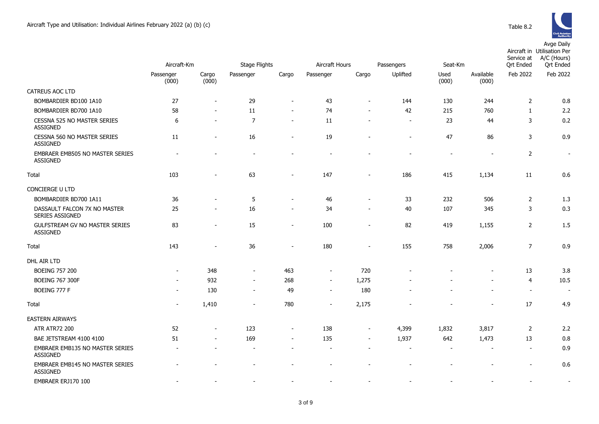

|                                                           |                          |                          |                          |                          |                          |                          |                          |                          |                    | Service at               | .<br>Aircraft in Utilisation Per<br>A/C (Hours) |
|-----------------------------------------------------------|--------------------------|--------------------------|--------------------------|--------------------------|--------------------------|--------------------------|--------------------------|--------------------------|--------------------|--------------------------|-------------------------------------------------|
|                                                           | Aircraft-Km              |                          | <b>Stage Flights</b>     |                          | Aircraft Hours           |                          | Passengers               | Seat-Km                  |                    | <b>Qrt Ended</b>         | <b>Qrt Ended</b>                                |
|                                                           | Passenger<br>(000)       | Cargo<br>(000)           | Passenger                | Cargo                    | Passenger                | Cargo                    | Uplifted                 | Used<br>(000)            | Available<br>(000) | Feb 2022                 | Feb 2022                                        |
| CATREUS AOC LTD                                           |                          |                          |                          |                          |                          |                          |                          |                          |                    |                          |                                                 |
| BOMBARDIER BD100 1A10                                     | 27                       |                          | 29                       |                          | 43                       |                          | 144                      | 130                      | 244                | $\overline{2}$           | 0.8                                             |
| BOMBARDIER BD700 1A10                                     | 58                       |                          | 11                       | $\overline{\phantom{a}}$ | 74                       |                          | 42                       | 215                      | 760                | $\mathbf{1}$             | 2.2                                             |
| CESSNA 525 NO MASTER SERIES<br>ASSIGNED                   | 6                        | $\sim$                   | $\overline{7}$           | $\sim$                   | 11                       |                          | $\overline{\phantom{a}}$ | 23                       | 44                 | 3                        | 0.2                                             |
| CESSNA 560 NO MASTER SERIES<br><b>ASSIGNED</b>            | 11                       |                          | 16                       |                          | 19                       |                          |                          | 47                       | 86                 | 3                        | 0.9                                             |
| <b>EMBRAER EMB505 NO MASTER SERIES</b><br><b>ASSIGNED</b> |                          |                          |                          |                          |                          |                          |                          | $\overline{\phantom{a}}$ |                    | $\overline{2}$           | $\sim$                                          |
| Total                                                     | 103                      |                          | 63                       | $\overline{\phantom{a}}$ | 147                      |                          | 186                      | 415                      | 1,134              | 11                       | 0.6                                             |
| CONCIERGE U LTD                                           |                          |                          |                          |                          |                          |                          |                          |                          |                    |                          |                                                 |
| BOMBARDIER BD700 1A11                                     | 36                       |                          | 5                        | $\overline{\phantom{a}}$ | 46                       |                          | 33                       | 232                      | 506                | $\overline{2}$           | 1.3                                             |
| DASSAULT FALCON 7X NO MASTER<br>SERIES ASSIGNED           | 25                       | $\overline{\phantom{a}}$ | 16                       | $\overline{\phantom{a}}$ | 34                       |                          | 40                       | 107                      | 345                | 3                        | 0.3                                             |
| GULFSTREAM GV NO MASTER SERIES<br><b>ASSIGNED</b>         | 83                       | $\overline{\phantom{a}}$ | 15                       | $\overline{\phantom{a}}$ | 100                      | $\sim$                   | 82                       | 419                      | 1,155              | $\overline{2}$           | 1.5                                             |
| Total                                                     | 143                      |                          | 36                       | $\overline{\phantom{a}}$ | 180                      |                          | 155                      | 758                      | 2,006              | $\overline{7}$           | 0.9                                             |
| DHL AIR LTD                                               |                          |                          |                          |                          |                          |                          |                          |                          |                    |                          |                                                 |
| <b>BOEING 757 200</b>                                     | $\overline{\phantom{a}}$ | 348                      | $\sim$                   | 463                      | $\sim$                   | 720                      |                          |                          |                    | 13                       | 3.8                                             |
| <b>BOEING 767 300F</b>                                    |                          | 932                      | $\overline{\phantom{a}}$ | 268                      | $\sim$                   | 1,275                    |                          |                          |                    | $\overline{4}$           | 10.5                                            |
| BOEING 777 F                                              |                          | 130                      | $\sim$                   | 49                       | $\overline{\phantom{a}}$ | 180                      |                          |                          |                    | $\sim$                   | $\overline{\phantom{a}}$                        |
| Total                                                     |                          | 1,410                    | $\sim$                   | 780                      |                          | 2,175                    |                          |                          |                    | 17                       | 4.9                                             |
| <b>EASTERN AIRWAYS</b>                                    |                          |                          |                          |                          |                          |                          |                          |                          |                    |                          |                                                 |
| <b>ATR ATR72 200</b>                                      | 52                       | $\sim$                   | 123                      | $\overline{\phantom{a}}$ | 138                      | $\overline{\phantom{a}}$ | 4,399                    | 1,832                    | 3,817              | 2                        | 2.2                                             |
| BAE JETSTREAM 4100 4100                                   | 51                       | $\overline{\phantom{a}}$ | 169                      | $\overline{\phantom{a}}$ | 135                      | $\overline{\phantom{a}}$ | 1,937                    | 642                      | 1,473              | 13                       | 0.8                                             |
| EMBRAER EMB135 NO MASTER SERIES<br><b>ASSIGNED</b>        |                          |                          |                          |                          |                          |                          | $\overline{\phantom{a}}$ | $\overline{\phantom{a}}$ |                    | $\overline{\phantom{a}}$ | 0.9                                             |
| EMBRAER EMB145 NO MASTER SERIES<br><b>ASSIGNED</b>        |                          |                          |                          |                          |                          |                          | $\overline{a}$           |                          |                    |                          | 0.6                                             |
| EMBRAER ERJ170 100                                        |                          |                          |                          |                          |                          |                          |                          |                          |                    |                          |                                                 |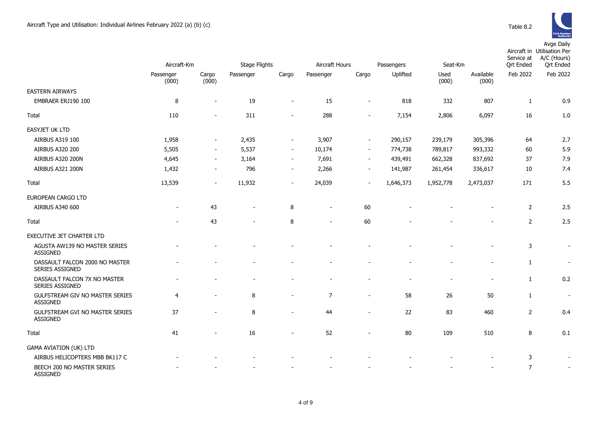Avge Daily

|                                                          | Aircraft-Km        |                          | <b>Stage Flights</b>     |                          | Aircraft Hours |                          | Passengers<br>Seat-Km |               |                    | Service at<br>Ort Ended | Aircraft in Utilisation Per<br>A/C (Hours)<br><b>Qrt Ended</b> |
|----------------------------------------------------------|--------------------|--------------------------|--------------------------|--------------------------|----------------|--------------------------|-----------------------|---------------|--------------------|-------------------------|----------------------------------------------------------------|
|                                                          | Passenger<br>(000) | Cargo<br>(000)           | Passenger                | Cargo                    | Passenger      | Cargo                    | Uplifted              | Used<br>(000) | Available<br>(000) | Feb 2022                | Feb 2022                                                       |
| <b>EASTERN AIRWAYS</b>                                   |                    |                          |                          |                          |                |                          |                       |               |                    |                         |                                                                |
| EMBRAER ERJ190 100                                       | 8                  | $\blacksquare$           | 19                       | $\overline{\phantom{a}}$ | 15             | $\blacksquare$           | 818                   | 332           | 807                | $\mathbf{1}$            | 0.9                                                            |
| Total                                                    | 110                | $\blacksquare$           | 311                      | $\blacksquare$           | 288            | $\blacksquare$           | 7,154                 | 2,806         | 6,097              | 16                      | 1.0                                                            |
| <b>EASYJET UK LTD</b>                                    |                    |                          |                          |                          |                |                          |                       |               |                    |                         |                                                                |
| AIRBUS A319 100                                          | 1,958              | $\overline{\phantom{a}}$ | 2,435                    | $\overline{\phantom{a}}$ | 3,907          | $\overline{\phantom{a}}$ | 290,157               | 239,179       | 305,396            | 64                      | 2.7                                                            |
| <b>AIRBUS A320 200</b>                                   | 5,505              | $\overline{\phantom{a}}$ | 5,537                    | $\overline{\phantom{a}}$ | 10,174         | $\sim$                   | 774,738               | 789,817       | 993,332            | 60                      | 5.9                                                            |
| AIRBUS A320 200N                                         | 4,645              | $\blacksquare$           | 3,164                    | $\overline{\phantom{a}}$ | 7,691          | $\blacksquare$           | 439,491               | 662,328       | 837,692            | 37                      | 7.9                                                            |
| AIRBUS A321 200N                                         | 1,432              | $\overline{\phantom{a}}$ | 796                      | $\overline{\phantom{a}}$ | 2,266          | $\overline{\phantom{a}}$ | 141,987               | 261,454       | 336,617            | 10                      | 7.4                                                            |
| Total                                                    | 13,539             | $\overline{\phantom{a}}$ | 11,932                   | $\overline{\phantom{a}}$ | 24,039         | $\blacksquare$           | 1,646,373             | 1,952,778     | 2,473,037          | 171                     | 5.5                                                            |
| EUROPEAN CARGO LTD                                       |                    |                          |                          |                          |                |                          |                       |               |                    |                         |                                                                |
| AIRBUS A340 600                                          |                    | 43                       | $\overline{\phantom{a}}$ | 8                        |                | 60                       |                       |               |                    | 2                       | 2.5                                                            |
| Total                                                    |                    | 43                       |                          | 8                        |                | 60                       |                       |               |                    | $\overline{2}$          | 2.5                                                            |
| EXECUTIVE JET CHARTER LTD                                |                    |                          |                          |                          |                |                          |                       |               |                    |                         |                                                                |
| AGUSTA AW139 NO MASTER SERIES<br><b>ASSIGNED</b>         |                    |                          |                          |                          |                |                          |                       |               |                    | 3                       |                                                                |
| DASSAULT FALCON 2000 NO MASTER<br><b>SERIES ASSIGNED</b> |                    |                          |                          |                          |                |                          |                       |               |                    | $\mathbf{1}$            |                                                                |
| DASSAULT FALCON 7X NO MASTER<br><b>SERIES ASSIGNED</b>   |                    |                          |                          |                          |                |                          |                       |               |                    | $\mathbf{1}$            | 0.2                                                            |
| GULFSTREAM GIV NO MASTER SERIES<br><b>ASSIGNED</b>       | 4                  |                          | 8                        | ÷,                       | $\overline{7}$ | $\overline{\phantom{a}}$ | 58                    | 26            | 50                 | $\mathbf{1}$            |                                                                |
| GULFSTREAM GVI NO MASTER SERIES<br><b>ASSIGNED</b>       | 37                 |                          | 8                        | L,                       | 44             |                          | 22                    | 83            | 460                | 2                       | 0.4                                                            |
| Total                                                    | 41                 |                          | 16                       | $\blacksquare$           | 52             | $\overline{a}$           | 80                    | 109           | 510                | 8                       | 0.1                                                            |
| <b>GAMA AVIATION (UK) LTD</b>                            |                    |                          |                          |                          |                |                          |                       |               |                    |                         |                                                                |
| AIRBUS HELICOPTERS MBB BK117 C                           |                    |                          |                          |                          |                |                          |                       |               |                    | 3                       |                                                                |
| BEECH 200 NO MASTER SERIES<br><b>ASSIGNED</b>            |                    |                          |                          |                          |                |                          |                       |               |                    | $\overline{7}$          | $\sim$                                                         |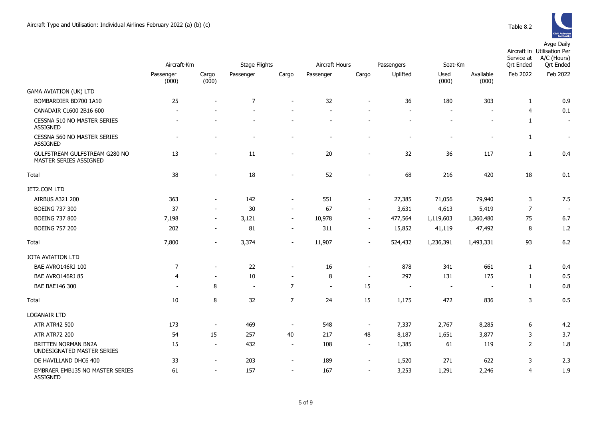

|                                                           | Aircraft-Km        |                          | <b>Stage Flights</b><br>Aircraft Hours |                          |                          |                          | Passengers     | Seat-Km                  | Service at<br><b>Ort Ended</b> | Aircraft in Utilisation Per<br>A/C (Hours)<br><b>Ort Ended</b> |          |
|-----------------------------------------------------------|--------------------|--------------------------|----------------------------------------|--------------------------|--------------------------|--------------------------|----------------|--------------------------|--------------------------------|----------------------------------------------------------------|----------|
|                                                           | Passenger<br>(000) | Cargo<br>(000)           | Passenger                              | Cargo                    | Passenger                | Cargo                    | Uplifted       | Used<br>(000)            | Available<br>(000)             | Feb 2022                                                       | Feb 2022 |
| <b>GAMA AVIATION (UK) LTD</b>                             |                    |                          |                                        |                          |                          |                          |                |                          |                                |                                                                |          |
| BOMBARDIER BD700 1A10                                     | 25                 |                          | $\overline{7}$                         | $\overline{\phantom{a}}$ | 32                       | $\overline{\phantom{a}}$ | 36             | 180                      | 303                            | $\mathbf{1}$                                                   | 0.9      |
| CANADAIR CL600 2B16 600                                   |                    |                          |                                        |                          |                          | $\overline{\phantom{a}}$ | $\sim$         | $\sim$                   |                                | $\overline{4}$                                                 | 0.1      |
| CESSNA 510 NO MASTER SERIES<br><b>ASSIGNED</b>            |                    |                          |                                        |                          |                          |                          |                |                          |                                | 1                                                              | $\sim$   |
| CESSNA 560 NO MASTER SERIES<br><b>ASSIGNED</b>            |                    |                          |                                        |                          |                          |                          |                | $\overline{\phantom{a}}$ |                                | $\mathbf{1}$                                                   | $\sim$   |
| GULFSTREAM GULFSTREAM G280 NO<br>MASTER SERIES ASSIGNED   | 13                 |                          | 11                                     |                          | 20                       | $\blacksquare$           | 32             | 36                       | 117                            | 1                                                              | 0.4      |
| Total                                                     | 38                 | ٠                        | 18                                     | $\blacksquare$           | 52                       | $\overline{\phantom{a}}$ | 68             | 216                      | 420                            | 18                                                             | 0.1      |
| JET2.COM LTD                                              |                    |                          |                                        |                          |                          |                          |                |                          |                                |                                                                |          |
| AIRBUS A321 200                                           | 363                | $\blacksquare$           | 142                                    | $\overline{\phantom{a}}$ | 551                      | $\overline{\phantom{a}}$ | 27,385         | 71,056                   | 79,940                         | 3                                                              | 7.5      |
| <b>BOEING 737 300</b>                                     | 37                 | $\overline{\phantom{a}}$ | 30                                     | $\overline{\phantom{a}}$ | 67                       | $\blacksquare$           | 3,631          | 4,613                    | 5,419                          | $\overline{7}$                                                 | $\sim$   |
| <b>BOEING 737 800</b>                                     | 7,198              | $\overline{\phantom{a}}$ | 3,121                                  | $\overline{\phantom{a}}$ | 10,978                   | $\overline{\phantom{a}}$ | 477,564        | 1,119,603                | 1,360,480                      | 75                                                             | 6.7      |
| <b>BOEING 757 200</b>                                     | 202                | $\overline{\phantom{a}}$ | 81                                     | $\sim$                   | 311                      | $\overline{\phantom{a}}$ | 15,852         | 41,119                   | 47,492                         | 8                                                              | 1.2      |
| Total                                                     | 7,800              | $\blacksquare$           | 3,374                                  | $\blacksquare$           | 11,907                   | $\overline{\phantom{a}}$ | 524,432        | 1,236,391                | 1,493,331                      | 93                                                             | 6.2      |
| JOTA AVIATION LTD                                         |                    |                          |                                        |                          |                          |                          |                |                          |                                |                                                                |          |
| BAE AVRO146RJ 100                                         | $\overline{7}$     | $\overline{\phantom{a}}$ | 22                                     | $\blacksquare$           | 16                       | $\blacksquare$           | 878            | 341                      | 661                            | 1                                                              | 0.4      |
| BAE AVRO146RJ 85                                          | 4                  | $\blacksquare$           | 10                                     | $\blacksquare$           | 8                        | $\blacksquare$           | 297            | 131                      | 175                            | 1                                                              | 0.5      |
| BAE BAE146 300                                            |                    | 8                        | $\overline{\phantom{a}}$               | $\overline{7}$           | $\overline{\phantom{a}}$ | 15                       | $\blacksquare$ | $\overline{\phantom{a}}$ | $\overline{\phantom{a}}$       | $\mathbf{1}$                                                   | 0.8      |
| Total                                                     | 10                 | 8                        | 32                                     | $\overline{7}$           | 24                       | 15                       | 1,175          | 472                      | 836                            | 3                                                              | 0.5      |
| LOGANAIR LTD                                              |                    |                          |                                        |                          |                          |                          |                |                          |                                |                                                                |          |
| <b>ATR ATR42 500</b>                                      | 173                | $\overline{\phantom{a}}$ | 469                                    | $\blacksquare$           | 548                      | $\blacksquare$           | 7,337          | 2,767                    | 8,285                          | 6                                                              | 4.2      |
| <b>ATR ATR72 200</b>                                      | 54                 | 15                       | 257                                    | 40                       | 217                      | 48                       | 8,187          | 1,651                    | 3,877                          | 3                                                              | 3.7      |
| <b>BRITTEN NORMAN BN2A</b><br>UNDESIGNATED MASTER SERIES  | 15                 | $\blacksquare$           | 432                                    | $\overline{\phantom{a}}$ | 108                      | $\sim$                   | 1,385          | 61                       | 119                            | 2                                                              | 1.8      |
| DE HAVILLAND DHC6 400                                     | 33                 | $\overline{\phantom{a}}$ | 203                                    | $\overline{\phantom{a}}$ | 189                      | $\overline{\phantom{a}}$ | 1,520          | 271                      | 622                            | 3                                                              | 2.3      |
| <b>EMBRAER EMB135 NO MASTER SERIES</b><br><b>ASSIGNED</b> | 61                 | $\overline{\phantom{a}}$ | 157                                    | $\overline{\phantom{a}}$ | 167                      | $\overline{\phantom{a}}$ | 3,253          | 1,291                    | 2,246                          | $\overline{4}$                                                 | 1.9      |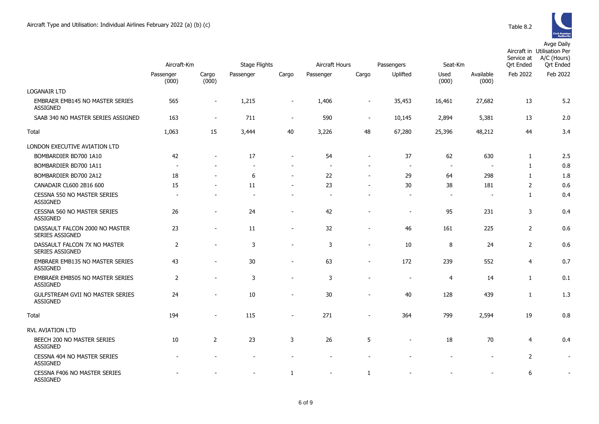Avge Daily

|                                                            | Aircraft-Km              |                          | <b>Stage Flights</b> |                          | Aircraft Hours<br>Passengers |                          |                          | Seat-Km                  |                          | Aircraft in Utilisation Per<br>Service at<br>A/C (Hours)<br><b>Qrt Ended</b><br><b>Qrt Ended</b> |                |
|------------------------------------------------------------|--------------------------|--------------------------|----------------------|--------------------------|------------------------------|--------------------------|--------------------------|--------------------------|--------------------------|--------------------------------------------------------------------------------------------------|----------------|
|                                                            | Passenger<br>(000)       | Cargo<br>(000)           | Passenger            | Cargo                    | Passenger                    | Cargo                    | Uplifted                 | <b>Used</b><br>(000)     | Available<br>(000)       | Feb 2022                                                                                         | Feb 2022       |
| <b>LOGANAIR LTD</b>                                        |                          |                          |                      |                          |                              |                          |                          |                          |                          |                                                                                                  |                |
| EMBRAER EMB145 NO MASTER SERIES<br><b>ASSIGNED</b>         | 565                      | $\overline{\phantom{a}}$ | 1,215                | $\overline{\phantom{a}}$ | 1,406                        | $\overline{\phantom{a}}$ | 35,453                   | 16,461                   | 27,682                   | 13                                                                                               | 5.2            |
| SAAB 340 NO MASTER SERIES ASSIGNED                         | 163                      | $\overline{\phantom{a}}$ | 711                  | $\overline{\phantom{a}}$ | 590                          | $\overline{\phantom{a}}$ | 10,145                   | 2,894                    | 5,381                    | 13                                                                                               | 2.0            |
| Total                                                      | 1,063                    | 15                       | 3,444                | 40                       | 3,226                        | 48                       | 67,280                   | 25,396                   | 48,212                   | 44                                                                                               | 3.4            |
| LONDON EXECUTIVE AVIATION LTD                              |                          |                          |                      |                          |                              |                          |                          |                          |                          |                                                                                                  |                |
| BOMBARDIER BD700 1A10                                      | 42                       |                          | 17                   |                          | 54                           |                          | 37                       | 62                       | 630                      | $\mathbf{1}$                                                                                     | 2.5            |
| BOMBARDIER BD700 1A11                                      | $\overline{\phantom{a}}$ |                          |                      |                          | $\overline{a}$               | $\overline{\phantom{a}}$ | $\overline{a}$           | $\overline{\phantom{a}}$ | $\overline{\phantom{a}}$ | $\mathbf{1}$                                                                                     | 0.8            |
| BOMBARDIER BD700 2A12                                      | 18                       |                          | 6                    |                          | 22                           |                          | 29                       | 64                       | 298                      | $\mathbf{1}$                                                                                     | 1.8            |
| CANADAIR CL600 2B16 600                                    | 15                       |                          | 11                   | $\overline{\phantom{0}}$ | 23                           | $\blacksquare$           | $30\,$                   | 38                       | 181                      | $\overline{2}$                                                                                   | 0.6            |
| CESSNA 550 NO MASTER SERIES<br><b>ASSIGNED</b>             | $\overline{\phantom{a}}$ |                          |                      |                          |                              |                          | $\overline{\phantom{a}}$ | $\overline{\phantom{a}}$ | $\overline{\phantom{a}}$ | 1                                                                                                | 0.4            |
| CESSNA 560 NO MASTER SERIES<br><b>ASSIGNED</b>             | 26                       |                          | 24                   |                          | 42                           |                          | $\sim$                   | 95                       | 231                      | 3                                                                                                | 0.4            |
| DASSAULT FALCON 2000 NO MASTER<br>SERIES ASSIGNED          | 23                       |                          | 11                   | $\blacksquare$           | 32                           |                          | 46                       | 161                      | 225                      | 2                                                                                                | 0.6            |
| DASSAULT FALCON 7X NO MASTER<br>SERIES ASSIGNED            | $\overline{2}$           |                          | 3                    | $\overline{\phantom{a}}$ | 3                            | $\overline{\phantom{a}}$ | 10                       | 8                        | 24                       | 2                                                                                                | 0.6            |
| <b>EMBRAER EMB135 NO MASTER SERIES</b><br><b>ASSIGNED</b>  | 43                       | $\blacksquare$           | 30                   | $\overline{\phantom{0}}$ | 63                           | $\overline{\phantom{a}}$ | 172                      | 239                      | 552                      | 4                                                                                                | 0.7            |
| <b>EMBRAER EMB505 NO MASTER SERIES</b><br><b>ASSIGNED</b>  | $\overline{2}$           |                          | 3                    | ۰                        | 3                            | ÷                        | $\overline{a}$           | $\overline{4}$           | 14                       | $\mathbf{1}$                                                                                     | 0.1            |
| <b>GULFSTREAM GVII NO MASTER SERIES</b><br><b>ASSIGNED</b> | 24                       | $\blacksquare$           | 10                   | $\overline{\phantom{a}}$ | 30                           |                          | 40                       | 128                      | 439                      | $\mathbf{1}$                                                                                     | 1.3            |
| Total                                                      | 194                      | $\blacksquare$           | 115                  | $\overline{\phantom{a}}$ | 271                          |                          | 364                      | 799                      | 2,594                    | 19                                                                                               | 0.8            |
| RVL AVIATION LTD                                           |                          |                          |                      |                          |                              |                          |                          |                          |                          |                                                                                                  |                |
| BEECH 200 NO MASTER SERIES<br><b>ASSIGNED</b>              | 10                       | 2                        | 23                   | $\mathsf{3}$             | 26                           | 5                        |                          | 18                       | 70                       | $\overline{4}$                                                                                   | 0.4            |
| CESSNA 404 NO MASTER SERIES<br><b>ASSIGNED</b>             |                          |                          |                      |                          |                              |                          |                          |                          |                          | 2                                                                                                | $\blacksquare$ |
| CESSNA F406 NO MASTER SERIES<br><b>ASSIGNED</b>            |                          |                          |                      | 1                        |                              | 1                        |                          |                          |                          | 6                                                                                                |                |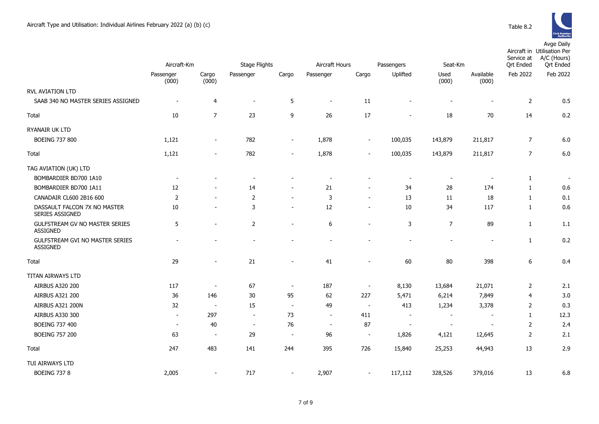Avge Daily

|                                                   | Aircraft-Km              |                          | <b>Stage Flights</b>     |                          | Aircraft Hours           |                          | Passengers               | Seat-Km                  |                          | Service at<br><b>Ort Ended</b> | Aircraft in Utilisation Per<br>A/C (Hours)<br><b>Qrt Ended</b> |
|---------------------------------------------------|--------------------------|--------------------------|--------------------------|--------------------------|--------------------------|--------------------------|--------------------------|--------------------------|--------------------------|--------------------------------|----------------------------------------------------------------|
|                                                   | Passenger<br>(000)       | Cargo<br>(000)           | Passenger                | Cargo                    | Passenger                | Cargo                    | Uplifted                 | Used<br>(000)            | Available<br>(000)       | Feb 2022                       | Feb 2022                                                       |
| <b>RVL AVIATION LTD</b>                           |                          |                          |                          |                          |                          |                          |                          |                          |                          |                                |                                                                |
| SAAB 340 NO MASTER SERIES ASSIGNED                | $\overline{\phantom{a}}$ | 4                        | $\blacksquare$           | 5                        | $\blacksquare$           | 11                       |                          | $\sim$                   |                          | $\overline{2}$                 | 0.5                                                            |
| Total                                             | $10\,$                   | $\overline{7}$           | 23                       | 9                        | 26                       | 17                       | $\blacksquare$           | 18                       | 70                       | 14                             | 0.2                                                            |
| RYANAIR UK LTD                                    |                          |                          |                          |                          |                          |                          |                          |                          |                          |                                |                                                                |
| <b>BOEING 737 800</b>                             | 1,121                    | $\sim$                   | 782                      | $\overline{\phantom{a}}$ | 1,878                    | $\blacksquare$           | 100,035                  | 143,879                  | 211,817                  | $\overline{7}$                 | 6.0                                                            |
| Total                                             | 1,121                    | $\overline{\phantom{a}}$ | 782                      | $\overline{\phantom{a}}$ | 1,878                    | $\overline{\phantom{a}}$ | 100,035                  | 143,879                  | 211,817                  | $\overline{7}$                 | 6.0                                                            |
| TAG AVIATION (UK) LTD                             |                          |                          |                          |                          |                          |                          |                          |                          |                          |                                |                                                                |
| BOMBARDIER BD700 1A10                             | $\overline{\phantom{a}}$ | $\blacksquare$           | $\overline{\phantom{a}}$ | $\blacksquare$           | $\sim$                   | $\overline{\phantom{a}}$ | $\sim$                   | $\overline{\phantom{a}}$ | $\overline{\phantom{a}}$ | $\mathbf{1}$                   | $\overline{\phantom{a}}$                                       |
| BOMBARDIER BD700 1A11                             | 12                       | $\overline{\phantom{a}}$ | 14                       | $\overline{\phantom{a}}$ | 21                       | $\sim$                   | 34                       | 28                       | 174                      | $\mathbf{1}$                   | 0.6                                                            |
| CANADAIR CL600 2B16 600                           | $\overline{2}$           | $\overline{\phantom{a}}$ | $\overline{2}$           | $\blacksquare$           | $\mathbf{3}$             | $\sim$                   | 13                       | 11                       | 18                       | $\mathbf{1}$                   | 0.1                                                            |
| DASSAULT FALCON 7X NO MASTER<br>SERIES ASSIGNED   | 10                       | $\blacksquare$           | 3                        | $\overline{a}$           | 12                       | $\overline{a}$           | $10\,$                   | 34                       | 117                      | $\mathbf{1}$                   | 0.6                                                            |
| GULFSTREAM GV NO MASTER SERIES<br><b>ASSIGNED</b> | 5                        | $\blacksquare$           | $\overline{2}$           | $\blacksquare$           | 6                        | $\blacksquare$           | 3                        | 7                        | 89                       | $\mathbf{1}$                   | 1.1                                                            |
| GULFSTREAM GVI NO MASTER SERIES<br>ASSIGNED       | $\overline{a}$           |                          | $\overline{a}$           | $\blacksquare$           | $\blacksquare$           | $\overline{\phantom{a}}$ | $\overline{\phantom{a}}$ | $\overline{\phantom{a}}$ | $\overline{\phantom{a}}$ | $\mathbf{1}$                   | 0.2                                                            |
| Total                                             | 29                       |                          | 21                       | L,                       | 41                       | $\overline{\phantom{a}}$ | 60                       | 80                       | 398                      | 6                              | 0.4                                                            |
| TITAN AIRWAYS LTD                                 |                          |                          |                          |                          |                          |                          |                          |                          |                          |                                |                                                                |
| AIRBUS A320 200                                   | 117                      | $\overline{\phantom{a}}$ | 67                       | $\overline{\phantom{a}}$ | 187                      | $\overline{a}$           | 8,130                    | 13,684                   | 21,071                   | $\overline{2}$                 | 2.1                                                            |
| AIRBUS A321 200                                   | 36                       | 146                      | 30                       | 95                       | 62                       | 227                      | 5,471                    | 6,214                    | 7,849                    | $\overline{4}$                 | 3.0                                                            |
| <b>AIRBUS A321 200N</b>                           | 32                       | $\overline{\phantom{a}}$ | 15                       | $\sim$                   | 49                       | $\overline{\phantom{a}}$ | 413                      | 1,234                    | 3,378                    | $\overline{2}$                 | 0.3                                                            |
| AIRBUS A330 300                                   | $\sim$                   | 297                      | $\overline{\phantom{a}}$ | 73                       | $\overline{\phantom{a}}$ | 411                      | $\sim$                   | $\sim$                   | $\overline{\phantom{a}}$ | 1                              | 12.3                                                           |
| <b>BOEING 737 400</b>                             | $\sim$                   | 40                       | $\overline{\phantom{a}}$ | 76                       | $\overline{\phantom{a}}$ | 87                       | $\overline{\phantom{a}}$ | $\overline{\phantom{a}}$ | $\overline{\phantom{a}}$ | $\overline{2}$                 | 2.4                                                            |
| <b>BOEING 757 200</b>                             | 63                       | $\blacksquare$           | 29                       | $\overline{\phantom{a}}$ | 96                       | $\overline{\phantom{a}}$ | 1,826                    | 4,121                    | 12,645                   | $\overline{2}$                 | 2.1                                                            |
| Total                                             | 247                      | 483                      | 141                      | 244                      | 395                      | 726                      | 15,840                   | 25,253                   | 44,943                   | 13                             | 2.9                                                            |
| TUI AIRWAYS LTD                                   |                          |                          |                          |                          |                          |                          |                          |                          |                          |                                |                                                                |
| <b>BOEING 737 8</b>                               | 2,005                    | $\blacksquare$           | 717                      | $\overline{\phantom{a}}$ | 2,907                    | $\overline{a}$           | 117,112                  | 328,526                  | 379,016                  | 13                             | 6.8                                                            |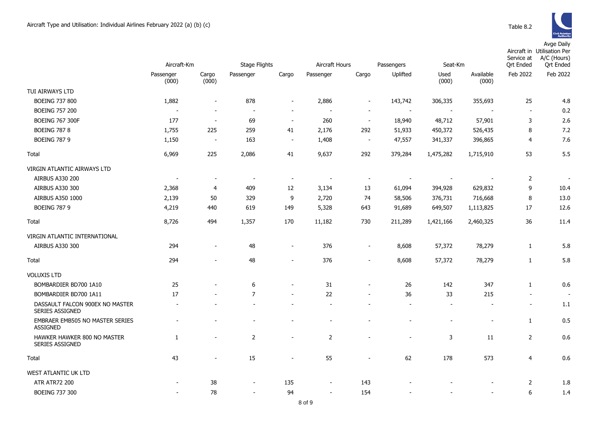|                                                    | Aircraft-Km              |                          | <b>Stage Flights</b>     |                          | Aircraft Hours<br>Passengers |                          |                          | Seat-Km                  |                          | Service at<br><b>Qrt Ended</b> | Aircraft in Utilisation Per<br>A/C (Hours)<br><b>Qrt Ended</b> |
|----------------------------------------------------|--------------------------|--------------------------|--------------------------|--------------------------|------------------------------|--------------------------|--------------------------|--------------------------|--------------------------|--------------------------------|----------------------------------------------------------------|
|                                                    | Passenger<br>(000)       | Cargo<br>(000)           | Passenger                | Cargo                    | Passenger                    | Cargo                    | Uplifted                 | Used<br>(000)            | Available<br>(000)       | Feb 2022                       | Feb 2022                                                       |
| TUI AIRWAYS LTD                                    |                          |                          |                          |                          |                              |                          |                          |                          |                          |                                |                                                                |
| <b>BOEING 737 800</b>                              | 1,882                    | $\blacksquare$           | 878                      | $\overline{a}$           | 2,886                        | $\overline{\phantom{a}}$ | 143,742                  | 306,335                  | 355,693                  | 25                             | 4.8                                                            |
| <b>BOEING 757 200</b>                              |                          | $\blacksquare$           | $\overline{\phantom{a}}$ | $\blacksquare$           |                              | $\blacksquare$           |                          |                          |                          |                                | 0.2                                                            |
| <b>BOEING 767 300F</b>                             | 177                      | $\sim$                   | 69                       | $\blacksquare$           | 260                          | $\overline{\phantom{a}}$ | 18,940                   | 48,712                   | 57,901                   | 3                              | 2.6                                                            |
| <b>BOEING 787 8</b>                                | 1,755                    | 225                      | 259                      | 41                       | 2,176                        | 292                      | 51,933                   | 450,372                  | 526,435                  | 8                              | 7.2                                                            |
| <b>BOEING 787 9</b>                                | 1,150                    | $\overline{\phantom{a}}$ | 163                      | $\overline{\phantom{a}}$ | 1,408                        | $\overline{\phantom{a}}$ | 47,557                   | 341,337                  | 396,865                  | 4                              | 7.6                                                            |
| Total                                              | 6,969                    | 225                      | 2,086                    | 41                       | 9,637                        | 292                      | 379,284                  | 1,475,282                | 1,715,910                | 53                             | 5.5                                                            |
| <b>VIRGIN ATLANTIC AIRWAYS LTD</b>                 |                          |                          |                          |                          |                              |                          |                          |                          |                          |                                |                                                                |
| AIRBUS A330 200                                    | $\overline{\phantom{a}}$ |                          | $\overline{\phantom{a}}$ | $\overline{\phantom{a}}$ | $\overline{\phantom{a}}$     | $\overline{a}$           |                          |                          |                          | 2                              | $\overline{\phantom{a}}$                                       |
| AIRBUS A330 300                                    | 2,368                    | $\overline{4}$           | 409                      | 12                       | 3,134                        | 13                       | 61,094                   | 394,928                  | 629,832                  | 9                              | 10.4                                                           |
| AIRBUS A350 1000                                   | 2,139                    | 50                       | 329                      | 9                        | 2,720                        | 74                       | 58,506                   | 376,731                  | 716,668                  | 8                              | 13.0                                                           |
| <b>BOEING 787 9</b>                                | 4,219                    | 440                      | 619                      | 149                      | 5,328                        | 643                      | 91,689                   | 649,507                  | 1,113,825                | 17                             | 12.6                                                           |
| <b>Total</b>                                       | 8,726                    | 494                      | 1,357                    | 170                      | 11,182                       | 730                      | 211,289                  | 1,421,166                | 2,460,325                | 36                             | 11.4                                                           |
| VIRGIN ATLANTIC INTERNATIONAL                      |                          |                          |                          |                          |                              |                          |                          |                          |                          |                                |                                                                |
| AIRBUS A330 300                                    | 294                      | $\overline{\phantom{a}}$ | 48                       | $\overline{\phantom{a}}$ | 376                          | $\overline{\phantom{a}}$ | 8,608                    | 57,372                   | 78,279                   | $\mathbf{1}$                   | 5.8                                                            |
| Total                                              | 294                      | $\blacksquare$           | 48                       | $\overline{a}$           | 376                          | $\overline{\phantom{a}}$ | 8,608                    | 57,372                   | 78,279                   | $\mathbf{1}$                   | 5.8                                                            |
| <b>VOLUXIS LTD</b>                                 |                          |                          |                          |                          |                              |                          |                          |                          |                          |                                |                                                                |
| BOMBARDIER BD700 1A10                              | 25                       |                          | 6                        | $\overline{\phantom{a}}$ | 31                           | $\overline{a}$           | 26                       | 142                      | 347                      | $\mathbf{1}$                   | 0.6                                                            |
| BOMBARDIER BD700 1A11                              | 17                       |                          | $\overline{7}$           | $\overline{\phantom{a}}$ | 22                           | $\blacksquare$           | 36                       | 33                       | 215                      | $\blacksquare$                 | $\blacksquare$                                                 |
| DASSAULT FALCON 900EX NO MASTER<br>SERIES ASSIGNED | $\overline{\phantom{a}}$ |                          | $\overline{a}$           |                          | $\blacksquare$               |                          | $\overline{\phantom{a}}$ | $\sim$                   | $\overline{\phantom{a}}$ |                                | 1.1                                                            |
| EMBRAER EMB505 NO MASTER SERIES<br><b>ASSIGNED</b> | $\overline{a}$           |                          | $\overline{\phantom{a}}$ |                          | $\overline{\phantom{a}}$     |                          |                          | $\overline{\phantom{a}}$ |                          | $\mathbf{1}$                   | 0.5                                                            |
| HAWKER HAWKER 800 NO MASTER<br>SERIES ASSIGNED     | 1                        |                          | $\overline{2}$           | $\overline{a}$           | $\overline{2}$               |                          |                          | 3                        | 11                       | $\overline{2}$                 | 0.6                                                            |
| Total                                              | 43                       | $\blacksquare$           | 15                       | $\overline{\phantom{a}}$ | 55                           | $\blacksquare$           | 62                       | 178                      | 573                      | $\overline{4}$                 | 0.6                                                            |
| WEST ATLANTIC UK LTD                               |                          |                          |                          |                          |                              |                          |                          |                          |                          |                                |                                                                |
| <b>ATR ATR72 200</b>                               |                          | 38                       | $\overline{\phantom{a}}$ | 135                      | $\blacksquare$               | 143                      |                          |                          |                          | $\overline{2}$                 | 1.8                                                            |
| <b>BOEING 737 300</b>                              | $\overline{\phantom{a}}$ | 78                       | $\overline{\phantom{a}}$ | 94                       | $\overline{\phantom{a}}$     | 154                      |                          |                          |                          | 6                              | 1.4                                                            |